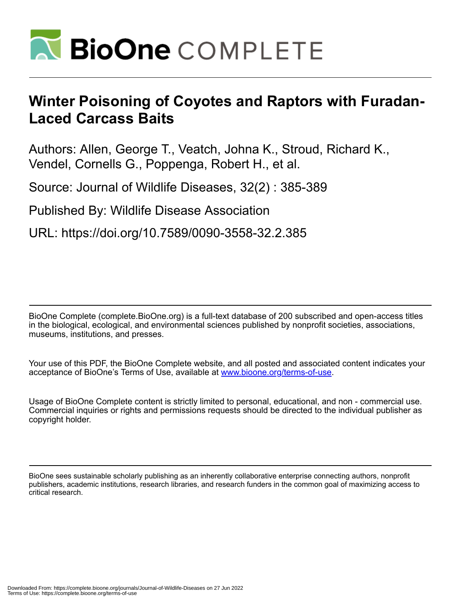

## **Winter Poisoning of Coyotes and Raptors with Furadan-Laced Carcass Baits**

Authors: Allen, George T., Veatch, Johna K., Stroud, Richard K., Vendel, Cornells G., Poppenga, Robert H., et al.

Source: Journal of Wildlife Diseases, 32(2) : 385-389

Published By: Wildlife Disease Association

URL: https://doi.org/10.7589/0090-3558-32.2.385

BioOne Complete (complete.BioOne.org) is a full-text database of 200 subscribed and open-access titles in the biological, ecological, and environmental sciences published by nonprofit societies, associations, museums, institutions, and presses.

Your use of this PDF, the BioOne Complete website, and all posted and associated content indicates your acceptance of BioOne's Terms of Use, available at www.bioone.org/terms-of-use.

Usage of BioOne Complete content is strictly limited to personal, educational, and non - commercial use. Commercial inquiries or rights and permissions requests should be directed to the individual publisher as copyright holder.

BioOne sees sustainable scholarly publishing as an inherently collaborative enterprise connecting authors, nonprofit publishers, academic institutions, research libraries, and research funders in the common goal of maximizing access to critical research.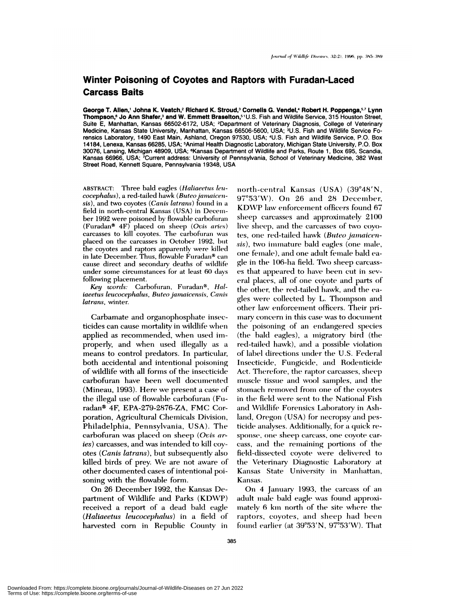## **Winter Poisoning of Coyotes and Raptors with Furadan-Laced Carcass Baits**

**George T.Allen,1 Johna K.Veatch,2 RIchard K. Stroud,3 Cornells G. Vendel,4** Robert **H. Poppenga,57 Lynn Thompson,6 Jo Ann Shafer,3 and W.** Emmett **Braselton,51** U.S. Fish and Wildlife Service, 315 **Houston Street,** Suite E, Manhattan, Kansas 66502-6172, USA; <sup>2</sup>Department of Veterinary Diagnosis, College of Veterinary Medicine, Kansas State University, Manhattan, Kansas 66506-5600, USA; 3U.S. Fish and Wildlife Service Forensics Laboratory, 1490 East Main, Ashland, Oregon 97530, USA; 4U.S. Fish and Wildlife Service, P.O. Box 14184, Lenexa, Kansas 66285, USA; 5Animal Health Diagnostic Laboratory, Michigan State University, P.O. Box 30076, Lansing, Michigan 48909, USA; 6Kansas Department of Wildlife and Parks, Route 1, Box 695, Scandia, Kansas 66966, USA; <sup>7</sup>Current address: University of Pennsylvania, School of Veterinary Medicine, 382 West Street Road, Kennett Square, Pennsylvania 19348, USA

ABSTRACT: Three bald eagles *(Haliaeetus len cocephalus*), a red-tailed hawk (Buteo jamaicen*xis),* and two coyotes *(Canis latrans)* found imi a field in north-central Kansas (USA) in December 1992 were poisoned by flowable carbofuran (Furadan#{174} 4F) placed on sheep *(Ovis aries)* carcasses to kill coyotes. The carbofuran was placed on the carcasses in October 1992, hut the coyotes and raptors apparently were killed in late December. Thus, flowable Furadan<sup>®</sup> can cause direct and secondary deaths of wildlife under some circumstances for at least 60 days following placement.

Key words: Carbofuran, Furadan<sup>®</sup>, *Hal*iaeetus leucocephalus, Buteo jamaicensis, Canis *latrans,* winter.

Carbamate and organophosphate insecticides can cause mortality in wildlife when applied as recommended, when used improperly, and when used illegally as a means to control predators. In particular, both accidental and intentional poisoning of wildlife with all forms of the insecticide carbofuran have been well documented (Mineau, 1993). Here we present a case of the illegal use of flowable carbofuran (Furadan<sup>®</sup> 4F, EPA-279-2876-ZA, FMC Corporation, Agricultural Chemicals Division, Philadelphia, Pennsylvania, USA). The carbofuran was placed on sheep *(Ovis aries)* carcasses, and was intended to kill coy otes *(Canis latrans),* but subsequently also killed birds of prey. We *are* not aware of other documented cases of intentional poisoning with the flowable form.

On 26 December 1992, the Kansas Department of Wildlife and Parks (KDWP) received a report of a dead bald eagle *(Haliaeetus leucocephalus)* in a field of harvested corn in Republic County in

north-central Kansas (USA) (39°48'N,  $97^{\circ}53'W$ ). On 26 and 28 December, KDWP law enforcement officers found 67 sheep carcasses and approximately 2100 live sheep, and the carcasses of two coyotes, one red-tailed hawk (Buteo *jamaicensis*), two immature bald eagles (one male, one female), and one adult female bald eagle in the 106-ha field. Two sheep carcasses that appeared to have been cut in several places, all of one coyote and parts of the other, the red-tailed hawk, and the eagles were collected by L. Thompson and other law enforcement officers. Their primary concern in this case was to document the poisoning of an endangered species (the bald eagles), a migratory bird (the red-tailed hawk), and a possible violation of label directions under the U.S. Federal Insecticide, Fungicide, and Rodenticide Act. Therefore, the raptor carcasses, sheep muscle tissue and wool samples, and the stomach removed from one of the coyotes in the field were sent to the National Fish and Wildlife Forensics Laboratory in Ashland, Oregon (USA) for necropsy and pesticide analyses. Additionally, for a quick response, one sheep carcass, one coyote carcass, and the remaining portions of the field-dissected coyote were delivered to the Veterinary Diagnostic Laboratory at Kansas State University in Manhattan, Kansas.

On 4 January 1993, the carcass of an adult male bald eagle was found approximately 6 km north of the site where the raptors, coyotes, and sheep had been found earlier (at  $39^{\circ}53'N$ ,  $97^{\circ}53'W$ ). That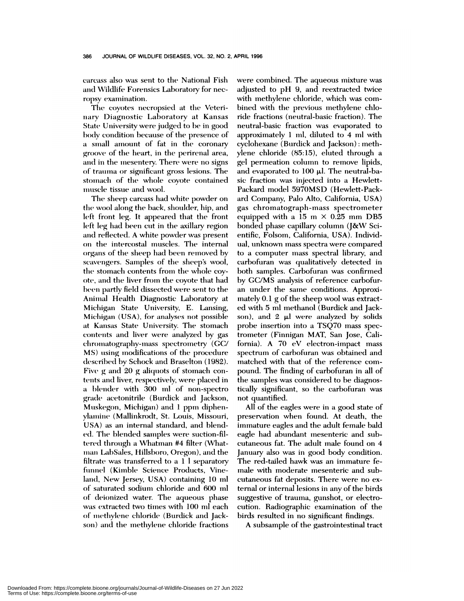carcass also was sent to the National Fish and Wildlife Forensics Laboratory for necropsy examination.

The coyotes necropsied at the Veterinary Diagnostic Laboratory at Kansas State University were judged to be in good body condition because of the presence of a small amount of fat in the coronary groove of the heart, in the perirenal area, and in the mesentery. There were no signs of trauma or significant gross lesions. The stomach of the whole coyote contained muscle tissue and wool.

The sheep carcass had white powder on the wool along the back, shoulder, hip, and left front leg. It appeared that the front left leg had been cut in the axillary region and reflected. A white powder was present on the intercostal muscles. The internal organs of the sheep had been removed by scavengers. Samples of the sheep's wool, the stomach contents from the whole coyote, and the liver from the coyote that had been partly field dissected were sent to the Animal Health Diagnostic Laboratory at Michigan State University, E. Lansing, Michigan (USA), for analyses not possible at Kansas State University. The stomach contents and liver were analyzed by gas chromatography-mass spectrometry (GC/ MS) using modifications of the procedure described by Schock and Braselton (1982). Five  $g$  and  $20$   $g$  aliquots of stomach contents and liver, respectively, were placed in a blender with 300 ml of non-spectro grade acetonitrile (Burdick and Jackson, Muskegon, Michigan) and 1 ppm diphenylamine (Mallinkrodt, St. Louis, Missouri, USA) as an internal standard, and blended. The blended samples were suction-filtered through a Whatman #4 filter (Whatman LabSales, Hillsboro, Oregon), and the filtrate was transferred to a  $1 \text{ } 1$  separatory funnel (Kimble Science Products, Vineland, New Jersey, USA) containing 10 ml of saturated sodium chloride and 600 ml of deionized water. The aqueous phase was extracted two times with 100 ml each of methylene chloride (Burdick and Jackson) and the methylene chloride fractions were combined. The aqueous mixture was adjusted to pH 9, and reextracted twice with methylene chloride, which was com bined with the previous methylene chloride fractions (neutral-basic fraction). The neutral-basic fraction was evaporated to approximately  $1$  ml, diluted to  $4$  ml with cyclohexane (Burdick and Jackson) : methylene chloride (85:15), eluted through a gel permeation column to remove lipids, and evaporated to  $100$   $\mu$ l. The neutral-basic fraction was injected into a Hewlett-Packard model 5970MSD (Hewlett-Packard Company, Palo Alto, California, USA) gas chromatograph-mass spectrometer equipped with a 15 m  $\times$  0.25 mm DB5 bonded phase capillary column (J&W Scientific, Folsom, California, USA). Individual, unknown mass spectra were compared to a computer mass spectral library, and carbofuran was qualitatively detected in both samples. Carbofuran was confirmed by GC/MS analysis of reference carbofur an under the same conditions. Approximately  $0.1$  g of the sheep wool was extracted with 5 ml methanol (Burdick and Jackson), and  $2 \mu l$  were analyzed by solids probe insertion into a TSQ7O mass spectrometer (Finnigan MAT, San Jose, California). A 70 eV electron-impact mass spectrum of carbofuman was obtained and matched with that of the reference compound. The finding of carbofuran in all of the samples was considered to be diagnostically significant, so the carbofuran was not quantified.

All of the eagles were in a good state of preservation when found. At death, the immature eagles and the adult female bald eagle had abundant mesenteric and sub cutaneous fat. The adult male found on 4 January also was in good body condition. The red-tailed hawk was an immature female with moderate mesenteric and sub cutaneous fat deposits. There were no external or internal lesions in any of the birds suggestive of trauma, gunshot, or electrocution. Radiographic examination of the birds resulted in no significant findings.

A subsample of the gastrointestinal tract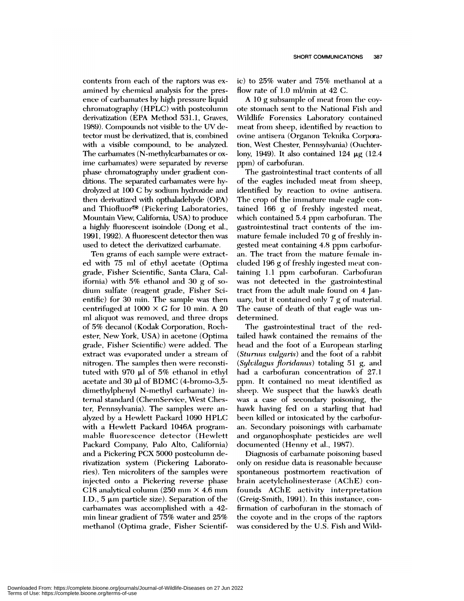contents from each of the raptors was examined by chemical analysis for the presence of carbamates by high pressure liquid chromatography (HPLC) with postcolumn derivatization (EPA Method 531.1, Graves, 1989). Compounds not visible to the UV detector must be derivatized, that is, combined with a visible compound, to be analyzed. The carbamates (N-methylcarbamates or oxime carbamates) were separated by reverse phase chromatography under gradient conditions. The separated carbamates were hydrolyzed at  $100 \text{ C}$  by sodium hydroxide and then derivatized with opthaladehyde (OPA) and Thiofluor<sup>®</sup> (Pickering Laboratories, Mountain View, California, USA) to produce a highly fluorescent isoindole (Dong et al., 1991, 1992). A fluorescent detector then was used to detect the derivatized carbamate.

Ten grams of each sample were extract ed with 75 ml of ethyl acetate (Optima grade, Fisher Scientific, Santa Clara, California) with  $5\%$  ethanol and 30 g of sodium sulfate (reagent grade, Fisher Scientific) for 30 min. The sample was then centrifuged at  $1000 \times G$  for 10 min. A 20 ml aliquot was removed, and three drops of 5% decanol (Kodak Corporation, Rochester, New York, USA) in acetone (Optima grade, Fisher Scientific) were added. The extract was evaporated under a stream of nitrogen. The samples then were reconstituted with 970  $\mu$ l of 5% ethanol in ethyl acetate and 30  $\mu$ l of BDMC (4-bromo-3,5dimethylphenyl N-methyl carbamate) internal standard (ChemService, West Chester, Pennsylvania). The samples were an alyzed by a Hewlett Packard 1090 HPLC with a Hewlett Packard 1046A programmable fluorescence detector (Hewlett Packard Company, Palo Alto, California) and a Pickering PCX 5000 postcolumn derivatization system (Pickering Laboratories). Ten microliters of the samples were injected onto a Pickering reverse phase C18 analytical column (250 mm X 4.6 mm I.D., 5  $\mu$ m particle size). Separation of the carbamates was accomplished with a 42min linear gradient of 75% water and 25% methanol (Optima grade, Fisher Scientific) to  $25\%$  water and  $75\%$  methanol at a flow rate of 1.0 ml/min at 42 C.

A  $10$  g subsample of meat from the coyote stomach sent to the National Fish and Wildlife Forensics Laboratory contained meat from sheep, identified by reaction to ovine antisera (Organon Teknika Corporation, West Chester, Pennsylvania) (Ouchterlony, 1949). It also contained  $124 \mu g$  (12.4) ppm) of carbofuran.

The gastrointestinal tract contents of all of the eagles included meat from sheep, identified by reaction to ovine antisera. The crop of the immature male eagle contained 166 g of freshly ingested meat, which contained 5.4 ppm carbofuran. The gastrointestinal tract contents of the immature female included 70 g of freshly ingested meat containing 4.8 ppm carbofum an. The tract from the mature female included 196 g of freshly ingested meat containing 1.1 ppm carbofuran. Carbofuran was not detected in the gastrointestinal tract from the adult male found on 4 January, but it contained only  $7 g$  of material. The cause of death of that eagle was undetermined.

The gastrointestinal tract of the redtailed hawk contained the remains of the head and the foot of a European starling *(Sturnus vulgaris)* and the foot of a rabbit *(Sylvilagus floridanus)* totaling 51 g, and had a carbofuran concentration of 27.1 ppm. It contained no meat identified as sheep. We suspect that the hawk's death was a case of secondary poisoning, the hawk having fed on a starling that had been killed or intoxicated by the carbofuran. Secondary poisonings with carbamate and organophosphate pesticides *are* well documented (Henny et al., 1987).

Diagnosis of carbamate poisoning based only on residue data is reasonable because spontaneous postmortem reactivation of brain acetylcholinesterase (AChE) confounds AChE activity interpretation (Greig-Smith, 1991). In this instance, confirmation of carbofuran in the stomach of the coyote and in the crops of the raptors was considered by the U.S. Fish and Wild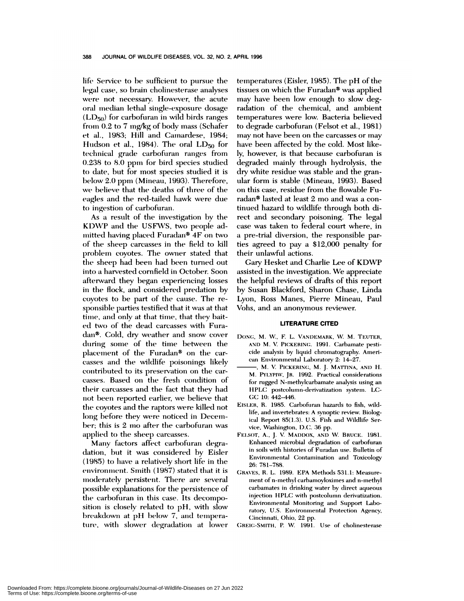life Service to be sufficient to pursue the legal case, so brain cholinesterase analyses were not necessary. However, the acute oral median lethal single-exposure dosage  $(LD_{50})$  for carbofuran in wild birds ranges from 0.2 to 7 mg/kg of body mass (Schafer et al. , 1983; Hill and Camnardese, 1984; Hudson et al., 1984). The oral  $LD_{50}$  for technical grade carbofuran ranges from 0.238 to 8.0 ppm for bird species studied to date, but for most species studied it is below 2.0 ppm (Mineau, 1993). Therefore, we believe that the deaths of three of the eagles and the red-tailed hawk were due to ingestion of carbofuran.

As a result of the investigation by the KDWP and the USFWS, two people admitted having placed Furadan<sup>®</sup>  $4F$  on two of the sheep carcasses in the field to kill problem coyotes. The owner stated that the sheep had been had been turned out into a harvested cornfield in October. Soon afterward they began experiencing losses in the flock, and considered predation by coyotes to be part of the cause. The responsible parties testified that it was at that time, and only at that time, that they bait*ed* two of the dead carcasses with Fumadan®. Cold, dry weather and snow cover during some of the time between the placement of the Furadan $*$  on the carcasses and the wildlife poisonings likely contributed to its preservation on the carcasses. Based on the fresh condition of their carcasses and the fact that they had not been reported earlier, we believe that the coyotes and the raptors were killed not long before they were noticed in December; this is 2 mo after the carbofuran was applied to the sheep carcasses.

Many factors affect carbofuran degradation, but it was considered by Eisler  $(1985)$  to have a relatively short life in the environment. Smith (1987) stated that it is moderately persistent. There are several possible explanations for the persistence of the carbofuran in this case. Its decomposition is closely related to pH, with slow breakdown at pH below 7, and temperature, with slower degradation at lower temperatures (Eisler, 1985). The pH of the tissues on which the Furadan® was applied may have been low enough to slow degradation of the chemical, and ambient temperatures were low. Bacteria believed to degrade carbofuran (Felsot et al., 1981) may not have been on the carcasses or may have been affected by the cold. Most likely, however, is that because carbofuman is degraded mainly through hydrolysis, the dry white residue was stable and the gramular form is stable (Mineau, 1993). Based on this case, residue from the flowable Furadan<sup>®</sup> lasted at least 2 mo and was a continued hazard to wildlife through both direct and secondary poisoning. The legal case was taken to federal court where, in a pre-trial diversion, the responsible parties agreed to pay a \$12,000 penalty for their unlawful actions.

Gary Hesket and Charlie Lee of KDWP assisted in the investigation. We appreciate the helpful reviews of drafts of this report by Susan Blackfomd, Sharon Chase, Linda Lyon, Ross Manes, Pierre Mineau, Paul Vohs, and an anonymous reviewer.

## **LITERATURE CITED**

- D0NG, M. W, F. L. VANDEMARK, W. M. TEUTER, AND M. V. PICKERING. 1991. Carhamate pesti cide analysis by liquid chromatography. Ameri can Environmental Laboratory 2: 14-27.
- -, M. V. PICKERING, M. J. MATTINA, AND H. M. PYLYPIW, JR. 1992. Practical considerations for rugged N-methylcarbamate analysis using an HPLC postcolumn-derivatization system. LC-GC 10: 442-446.
- EISLER, R. 1985. Carbofuran hazards to fish, wildlife, and invertebrates: A synoptic review. Biological Report 85(1.3). U.S. Fish and Wildlife *Ser* vice, Washington, D.C. 36 pp.
- FELSOT, A., J. V. MADDox, AND W. BRUCE. 1981. Enhanced microbial degradation of carbofuran in soils with histories of Furadan use. Bulletin of Environmental Contamination and Toxicology 26: 781-788.
- GRAVES, R. L. 1989. EPA Methods 531.1: Measurement of n-methyl carhamoyhoximes and n-methyl carbamates in drinking water by direct aqueous injection HPLC with postcolumn derivatization. Environmental Monitoring and Support Laboratory, U.S. Environmental Protection Agency, Cincinnati, Ohio, 22 pp.
- CREIG-SMITH, P. W. 1991. Use of cholinesterase